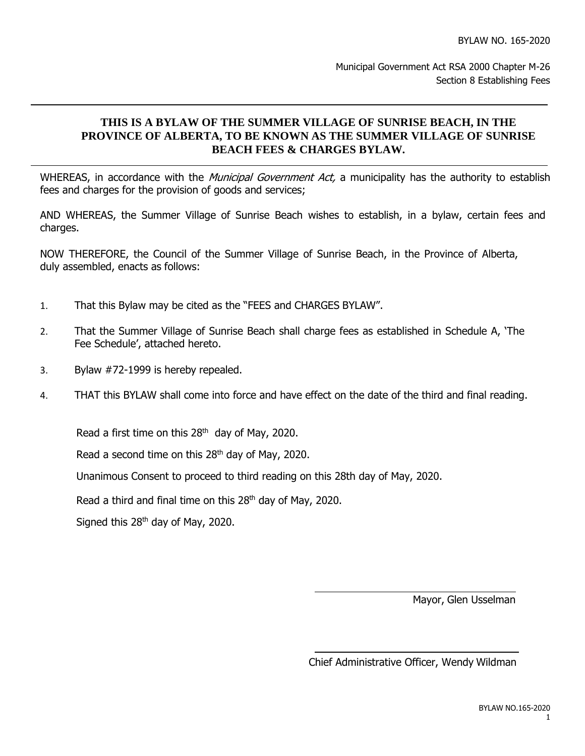## **THIS IS A BYLAW OF THE SUMMER VILLAGE OF SUNRISE BEACH, IN THE PROVINCE OF ALBERTA, TO BE KNOWN AS THE SUMMER VILLAGE OF SUNRISE BEACH FEES & CHARGES BYLAW.**

WHEREAS, in accordance with the *Municipal Government Act*, a municipality has the authority to establish fees and charges for the provision of goods and services;

AND WHEREAS, the Summer Village of Sunrise Beach wishes to establish, in a bylaw, certain fees and charges.

NOW THEREFORE, the Council of the Summer Village of Sunrise Beach, in the Province of Alberta, duly assembled, enacts as follows:

- 1. That this Bylaw may be cited as the "FEES and CHARGES BYLAW".
- 2. That the Summer Village of Sunrise Beach shall charge fees as established in Schedule A, 'The Fee Schedule', attached hereto.
- 3. Bylaw #72-1999 is hereby repealed.
- 4. THAT this BYLAW shall come into force and have effect on the date of the third and final reading.

Read a first time on this 28<sup>th</sup> day of May, 2020.

Read a second time on this 28<sup>th</sup> day of May, 2020.

Unanimous Consent to proceed to third reading on this 28th day of May, 2020.

Read a third and final time on this  $28<sup>th</sup>$  day of May, 2020.

Signed this  $28<sup>th</sup>$  day of May, 2020.

Mayor, Glen Usselman

Chief Administrative Officer, Wendy Wildman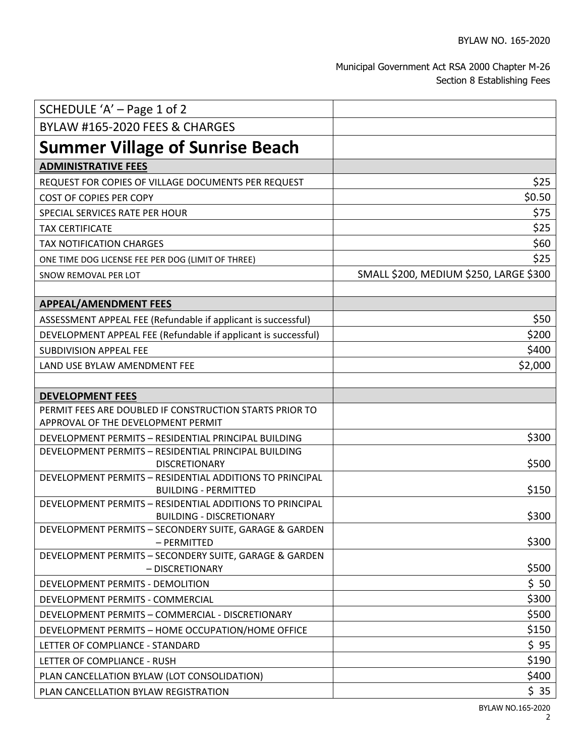## Municipal Government Act RSA 2000 Chapter M-26 Section 8 Establishing Fees

| SCHEDULE 'A' - Page 1 of 2                                                   |                                        |
|------------------------------------------------------------------------------|----------------------------------------|
| <b>BYLAW #165-2020 FEES &amp; CHARGES</b>                                    |                                        |
| <b>Summer Village of Sunrise Beach</b>                                       |                                        |
| <b>ADMINISTRATIVE FEES</b>                                                   |                                        |
| REQUEST FOR COPIES OF VILLAGE DOCUMENTS PER REQUEST                          | \$25                                   |
| COST OF COPIES PER COPY                                                      | \$0.50                                 |
| SPECIAL SERVICES RATE PER HOUR                                               | \$75                                   |
| <b>TAX CERTIFICATE</b>                                                       | \$25                                   |
| <b>TAX NOTIFICATION CHARGES</b>                                              | \$60                                   |
| ONE TIME DOG LICENSE FEE PER DOG (LIMIT OF THREE)                            | \$25                                   |
| SNOW REMOVAL PER LOT                                                         | SMALL \$200, MEDIUM \$250, LARGE \$300 |
|                                                                              |                                        |
| <b>APPEAL/AMENDMENT FEES</b>                                                 |                                        |
| ASSESSMENT APPEAL FEE (Refundable if applicant is successful)                | \$50                                   |
| DEVELOPMENT APPEAL FEE (Refundable if applicant is successful)               | \$200                                  |
| <b>SUBDIVISION APPEAL FEE</b>                                                | \$400                                  |
| LAND USE BYLAW AMENDMENT FEE                                                 | \$2,000                                |
|                                                                              |                                        |
| <b>DEVELOPMENT FEES</b>                                                      |                                        |
| PERMIT FEES ARE DOUBLED IF CONSTRUCTION STARTS PRIOR TO                      |                                        |
| APPROVAL OF THE DEVELOPMENT PERMIT                                           |                                        |
| DEVELOPMENT PERMITS - RESIDENTIAL PRINCIPAL BUILDING                         | \$300                                  |
| DEVELOPMENT PERMITS - RESIDENTIAL PRINCIPAL BUILDING<br><b>DISCRETIONARY</b> | \$500                                  |
| DEVELOPMENT PERMITS - RESIDENTIAL ADDITIONS TO PRINCIPAL                     |                                        |
| <b>BUILDING - PERMITTED</b>                                                  | \$150                                  |
| DEVELOPMENT PERMITS - RESIDENTIAL ADDITIONS TO PRINCIPAL                     |                                        |
| <b>BUILDING - DISCRETIONARY</b>                                              | \$300                                  |
| DEVELOPMENT PERMITS - SECONDERY SUITE, GARAGE & GARDEN                       |                                        |
| - PERMITTED<br>DEVELOPMENT PERMITS - SECONDERY SUITE, GARAGE & GARDEN        | \$300                                  |
| - DISCRETIONARY                                                              | \$500                                  |
| DEVELOPMENT PERMITS - DEMOLITION                                             | \$50                                   |
| DEVELOPMENT PERMITS - COMMERCIAL                                             | \$300                                  |
| DEVELOPMENT PERMITS - COMMERCIAL - DISCRETIONARY                             | \$500                                  |
| DEVELOPMENT PERMITS - HOME OCCUPATION/HOME OFFICE                            | \$150                                  |
| LETTER OF COMPLIANCE - STANDARD                                              | \$95                                   |
| LETTER OF COMPLIANCE - RUSH                                                  | \$190                                  |
| PLAN CANCELLATION BYLAW (LOT CONSOLIDATION)                                  | \$400                                  |
| PLAN CANCELLATION BYLAW REGISTRATION                                         | \$35                                   |
|                                                                              |                                        |

BYLAW NO.165-2020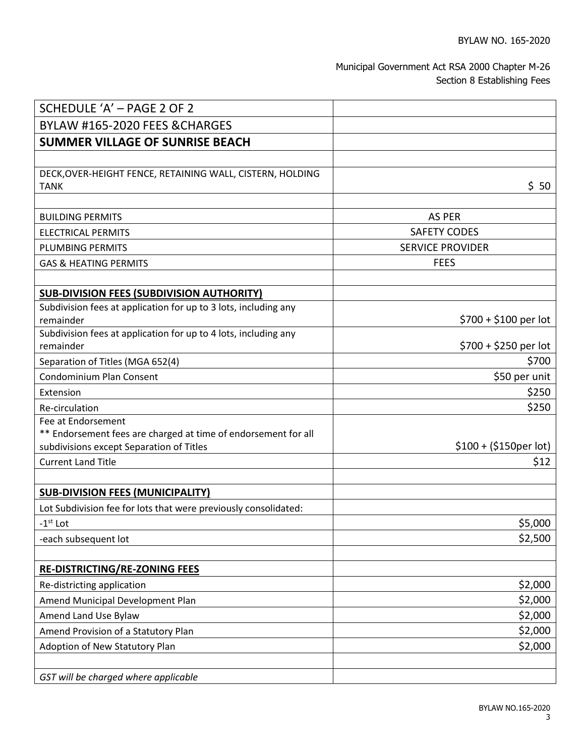## Municipal Government Act RSA 2000 Chapter M-26 Section 8 Establishing Fees

| SCHEDULE 'A' - PAGE 2 OF 2                                                                                                       |                         |
|----------------------------------------------------------------------------------------------------------------------------------|-------------------------|
| BYLAW #165-2020 FEES & CHARGES                                                                                                   |                         |
| <b>SUMMER VILLAGE OF SUNRISE BEACH</b>                                                                                           |                         |
|                                                                                                                                  |                         |
| DECK, OVER-HEIGHT FENCE, RETAINING WALL, CISTERN, HOLDING<br><b>TANK</b>                                                         | \$50                    |
|                                                                                                                                  |                         |
| <b>BUILDING PERMITS</b>                                                                                                          | <b>AS PER</b>           |
| <b>ELECTRICAL PERMITS</b>                                                                                                        | <b>SAFETY CODES</b>     |
| <b>PLUMBING PERMITS</b>                                                                                                          | <b>SERVICE PROVIDER</b> |
| <b>GAS &amp; HEATING PERMITS</b>                                                                                                 | <b>FEES</b>             |
|                                                                                                                                  |                         |
| <b>SUB-DIVISION FEES (SUBDIVISION AUTHORITY)</b>                                                                                 |                         |
| Subdivision fees at application for up to 3 lots, including any<br>remainder                                                     | $$700 + $100$ per lot   |
| Subdivision fees at application for up to 4 lots, including any<br>remainder                                                     | $$700 + $250$ per lot   |
| Separation of Titles (MGA 652(4)                                                                                                 | \$700                   |
| <b>Condominium Plan Consent</b>                                                                                                  | \$50 per unit           |
| Extension                                                                                                                        | \$250                   |
| Re-circulation                                                                                                                   | \$250                   |
| Fee at Endorsement<br>** Endorsement fees are charged at time of endorsement for all<br>subdivisions except Separation of Titles | $$100 + ($150per lot)$  |
| <b>Current Land Title</b>                                                                                                        | \$12                    |
|                                                                                                                                  |                         |
| <b>SUB-DIVISION FEES (MUNICIPALITY)</b>                                                                                          |                         |
| Lot Subdivision fee for lots that were previously consolidated:                                                                  |                         |
| $-1st$ Lot                                                                                                                       | \$5,000                 |
| -each subsequent lot                                                                                                             | \$2,500                 |
|                                                                                                                                  |                         |
| <b>RE-DISTRICTING/RE-ZONING FEES</b>                                                                                             |                         |
| Re-districting application                                                                                                       | \$2,000                 |
| Amend Municipal Development Plan                                                                                                 | \$2,000                 |
| Amend Land Use Bylaw                                                                                                             | \$2,000                 |
| Amend Provision of a Statutory Plan                                                                                              | \$2,000                 |
| Adoption of New Statutory Plan                                                                                                   | \$2,000                 |
|                                                                                                                                  |                         |
| GST will be charged where applicable                                                                                             |                         |